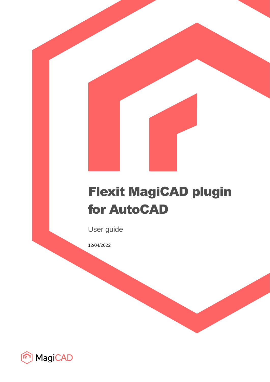# Flexit MagiCAD plugin for AutoCAD

User guide

12/04/2022

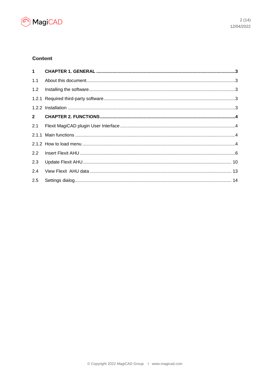

# **Content**

| 1.1         |  |
|-------------|--|
| 1.2         |  |
|             |  |
|             |  |
| $2^{\circ}$ |  |
| 2.1         |  |
|             |  |
|             |  |
| 2.2         |  |
| 2.3         |  |
| 2.4         |  |
| 2.5         |  |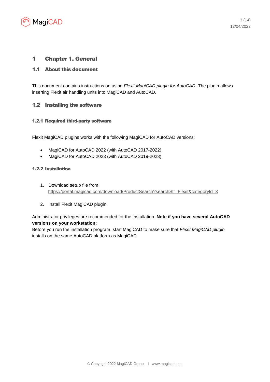

## 1 Chapter 1. General

### 1.1 About this document

This document contains instructions on using *Flexit MagiCAD plugin for AutoCAD*. The plugin allows inserting Flexit air handling units into MagiCAD and AutoCAD.

### 1.2 Installing the software

#### 1.2.1 Required third-party software

Flexit MagiCAD plugins works with the following MagiCAD for AutoCAD versions:

- MagiCAD for AutoCAD 2022 (with AutoCAD 2017-2022)
- MagiCAD for AutoCAD 2023 (with AutoCAD 2019-2023)

#### 1.2.2 Installation

- 1. Download setup file from <https://portal.magicad.com/download/ProductSearch?searchStr=Flexit&categoryId=3>
- 2. Install Flexit MagiCAD plugin.

Administrator privileges are recommended for the installation. **Note if you have several AutoCAD versions on your workstation:**

Before you run the installation program, start MagiCAD to make sure that *Flexit MagiCAD plugin*  installs on the same AutoCAD platform as MagiCAD.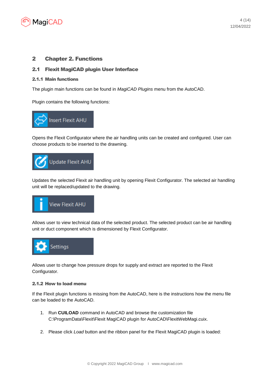

## 2 Chapter 2. Functions

#### 2.1 Flexit MagiCAD plugin User Interface

#### 2.1.1 Main functions

The plugin main functions can be found in *MagiCAD Plugins* menu from the AutoCAD.

Plugin contains the following functions:



Opens the Flexit Configurator where the air handling units can be created and configured. User can choose products to be inserted to the drawning.



Updates the selected Flexit air handling unit by opening Flexit Configurator. The selected air handling unit will be replaced/updated to the drawing.



Allows user to view technical data of the selected product. The selected product can be air handling unit or duct component which is dimensioned by Flexit Configurator.



Allows user to change how pressure drops for supply and extract are reported to the Flexit Configurator.

#### 2.1.2 How to load menu

If the Flexit plugin functions is missing from the AutoCAD, here is the instructions how the menu file can be loaded to the AutoCAD.

- 1. Run **CUILOAD** command in AutoCAD and browse the customization file C:\ProgramData\Flexit\Flexit MagiCAD plugin for AutoCAD\FlexitWebMagi.cuix.
- 2. Please click *Load* button and the ribbon panel for the Flexit MagiCAD plugin is loaded: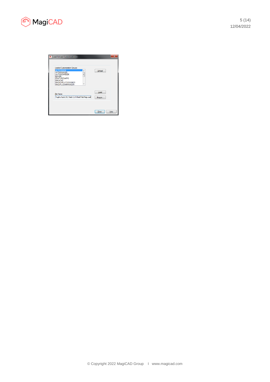

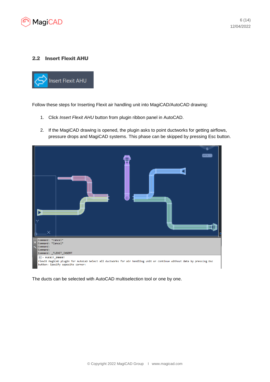

### 2.2 Insert Flexit AHU



Follow these steps for Inserting Flexit air handling unit into MagiCAD/AutoCAD drawing:

- 1. Click *Insert Flexit AHU* button from plugin ribbon panel in AutoCAD.
- 2. If the MagiCAD drawing is opened, the plugin asks to point ductworks for getting airflows, pressure drops and MagiCAD systems. This phase can be skipped by pressing Esc button.



The ducts can be selected with AutoCAD multiselection tool or one by one.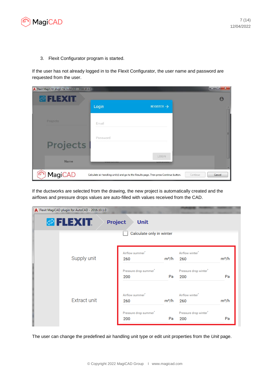

3. Flexit Configurator program is started.

If the user has not already logged in to the Flexit Configurator, the user name and password are requested from the user.

| Flexit MagiCAD plugin for AutoCAD - 2016.10.1.0 |          |                                                                                        | $\mathbf{z} = \mathbf{z} \mathbf{z}$<br>$\mathbf{x}$ |
|-------------------------------------------------|----------|----------------------------------------------------------------------------------------|------------------------------------------------------|
| <b>OFLEXIT</b>                                  |          |                                                                                        | $\boldsymbol{\Theta}$                                |
|                                                 | Login    | REGISTER $\rightarrow$                                                                 |                                                      |
| Projects                                        | Email    |                                                                                        |                                                      |
| <b>Projects</b>                                 | Password |                                                                                        |                                                      |
| Name                                            |          | LOGIN                                                                                  |                                                      |
| <b>MagiCAD</b>                                  |          | Calculate air handling unit(s) and go to the Results page. Then press Continue button. | Cancel<br>Continue                                   |

If the ductworks are selected from the drawing, the new project is automatically created and the airflows and pressure drops values are auto-filled with values received from the CAD.

| Flexit MagiCAD plugin for AutoCAD - 2016.10.1.0 |                                          |         |                                    |         |
|-------------------------------------------------|------------------------------------------|---------|------------------------------------|---------|
| <b><i>A FLEXIT.</i></b>                         | <b>Project</b><br><b>Unit</b>            |         |                                    |         |
|                                                 | Calculate only in winter                 |         |                                    |         |
| Supply unit                                     | Airflow summer <sup>*</sup><br>260       | $m^3/h$ | Airflow winter <sup>®</sup><br>260 | $m^3/h$ |
|                                                 | Pressure drop summer <sup>*</sup><br>200 | Pa      | Pressure drop winter*<br>200       | Pa      |
| <b>Extract unit</b>                             | Airflow summer <sup>*</sup><br>260       | $m^3/h$ | Airflow winter <sup>*</sup><br>260 | $m^3/h$ |
|                                                 | Pressure drop summer <sup>®</sup><br>200 | Pa      | Pressure drop winter*<br>200       | Pa      |

The user can change the predefined air handling unit type or edit unit properties from the *Unit* page.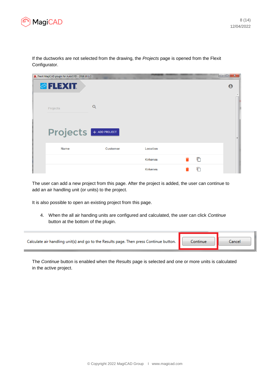

If the ductworks are not selected from the drawing, the *Projects* page is opened from the Flexit Configurator. **College**  $\Box$   $\Box$   $\sim$   $\Box$ 

| Flexit MagiCAD plugin for AutoCAD - 2016.10.1.0 |                 |                 |   | <u>the second part of the second part of the second part of the second part of the second part of the second part of the second part of the second part of the second part of the second part of the second part of the second p</u> |
|-------------------------------------------------|-----------------|-----------------|---|--------------------------------------------------------------------------------------------------------------------------------------------------------------------------------------------------------------------------------------|
| <b><i><b>@FLEXIT.</b></i></b>                   |                 |                 |   | $\boldsymbol{\theta}$                                                                                                                                                                                                                |
| Projects                                        | Q               |                 |   |                                                                                                                                                                                                                                      |
| <b>Projects</b> + ADD PROJECT                   |                 |                 |   | Ξ                                                                                                                                                                                                                                    |
| <b>Name</b>                                     | <b>Customer</b> | Location        |   |                                                                                                                                                                                                                                      |
|                                                 |                 | <b>Kirkenes</b> | Ō |                                                                                                                                                                                                                                      |
|                                                 |                 | <b>Kirkenes</b> | n |                                                                                                                                                                                                                                      |

The user can add a new project from this page. After the project is added, the user can continue to add an air handling unit (or units) to the project.

It is also possible to open an existing project from this page.

4. When the all air handing units are configured and calculated, the user can click *Continue* button at the bottom of the plugin.

| Calculate air handling unit(s) and go to the Results page. Then press Continue button. | Continue | Cancel |
|----------------------------------------------------------------------------------------|----------|--------|
|----------------------------------------------------------------------------------------|----------|--------|

The *Continue* button is enabled when the *Results* page is selected and one or more units is calculated in the active project.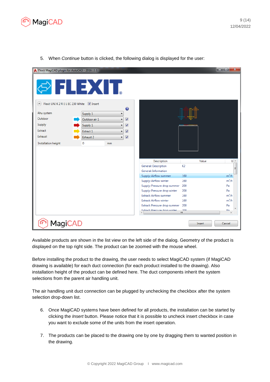

| Flexit MagiCAD plugin for AutoCAD - 2016.11.1                              |               |    |                         |                                                              |                                                      | an Br                |  |
|----------------------------------------------------------------------------|---------------|----|-------------------------|--------------------------------------------------------------|------------------------------------------------------|----------------------|--|
| S FLEXIT.                                                                  |               |    |                         |                                                              |                                                      |                      |  |
| Flexit UNI K 2 R E L EC 230 White V Insert<br>$\left( \widehat{ } \right)$ |               |    | ❼                       |                                                              |                                                      |                      |  |
| Ahu system                                                                 | Supply 1      | ▼  |                         |                                                              |                                                      |                      |  |
| Outdoor                                                                    | Outdoor air 1 | ۰  | $\overline{\mathbf{v}}$ |                                                              |                                                      |                      |  |
| Supply                                                                     | Supply 1      |    | $\overline{\mathbf{v}}$ |                                                              | <mark>masar <mark>person person persi</mark>n</mark> |                      |  |
| Extract                                                                    | Extract 1     |    | $\overline{\mathbf{v}}$ |                                                              |                                                      |                      |  |
| Exhaust                                                                    | Exhaust 2     | ۰  | $\overline{\mathbf{v}}$ |                                                              |                                                      |                      |  |
| Installation height                                                        | $\mathbf 0$   | mm |                         |                                                              |                                                      |                      |  |
|                                                                            |               |    |                         |                                                              |                                                      |                      |  |
|                                                                            |               |    |                         |                                                              |                                                      |                      |  |
|                                                                            |               |    |                         | Description                                                  | Value                                                | U <sup>A</sup>       |  |
|                                                                            |               |    |                         | General: Description                                         | K <sub>2</sub>                                       | Ξ                    |  |
|                                                                            |               |    |                         | General: Information                                         |                                                      |                      |  |
|                                                                            |               |    |                         | Supply: Airflow summer                                       | 160                                                  | $m^3/h$              |  |
|                                                                            |               |    |                         | Supply: Airflow winter                                       | 160                                                  | $m^3/h$              |  |
|                                                                            |               |    |                         | Supply: Pressure drop summer<br>Supply: Pressure drop winter | 200<br>200                                           | Pa<br>Pa             |  |
|                                                                            |               |    |                         | <b>Extract: Airflow summer</b>                               | 160                                                  | $m^3/h$              |  |
|                                                                            |               |    |                         | <b>Extract: Airflow winter</b>                               | 160                                                  | $m^3/h$              |  |
|                                                                            |               |    |                         | Extract: Pressure drop summer                                | 200                                                  | Pa                   |  |
|                                                                            |               |    |                         | Evtract: Draccura dron winter                                | 200<br>m.                                            | D <sub>a</sub><br>b. |  |
|                                                                            |               |    |                         |                                                              |                                                      |                      |  |
| <b>MagiCAD</b>                                                             |               |    |                         |                                                              | Insert                                               | Cancel               |  |

5. When *Continue* button is clicked, the following dialog is displayed for the user:

Available products are shown in the list view on the left side of the dialog. Geometry of the product is displayed on the top right side. The product can be zoomed with the mouse wheel.

Before installing the product to the drawing, the user needs to select MagiCAD system (if MagiCAD drawing is available) for each duct connection (for each product installed to the drawing). Also installation height of the product can be defined here. The duct components inherit the system selections from the parent air handling unit.

The air handling unit duct connection can be plugged by unchecking the checkbox after the system selection drop-down list.

- 6. Once MagiCAD systems have been defined for all products, the installation can be started by clicking the *Insert* button. Please notice that it is possible to uncheck insert checkbox in case you want to exclude some of the units from the insert operation.
- 7. The products can be placed to the drawing one by one by dragging them to wanted position in the drawing.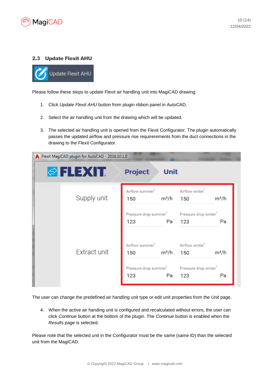

# 2.3 Update Flexit AHU

**Update Flexit AHU** 

Please follow these steps to update Flexit air handling unit into MagiCAD drawing:

- 1. Click *Update Flexit AHU* button from plugin ribbon panel in AutoCAD.
- 2. Select the air handling unit from the drawing which will be updated.
- 3. The selected air handling unit is opened from the Flexit Configurator. The plugin automatically passes the updated airflow and pressure rise requirerements from the duct connections in the drawing to the Flexit Configurator.



The user can change the predefined air handling unit type or edit unit properties from the *Unit* page.

4. When the active air handing unit is configured and recalculated without errors, the user can click *Continue* button at the bottom of the plugin. The *Continue* button is enabled when the *Results* page is selected.

Please note that the selected unit in the Configurator must be the same (same ID) than the selected unit from the MagiCAD.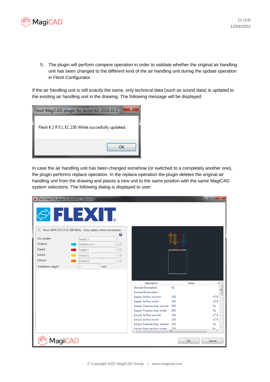

5. The plugin will perform compere operation in order to validate whether the original air handling unit has been changed to the different kind of the air handling unit during the update operation in Flexit Configurator.

If the air handling unit is still exactly the same, only technical data (such as sound data) is updated to the existing air handling unit in the drawing. The following message will be displayed:

| Flexit MagiCAD plugin for AutoCAD 2016.10.1        |    |
|----------------------------------------------------|----|
| Flexit K 2 R E L EC 230 White succesfully updated. |    |
|                                                    | ок |

In case the air handling unit has been changed somehow (or switched to a completely another one), the plugin performs replace operation. In the replace operation the plugin deletes the original air handling unit from the drawing and places a new unit to the same position with the same MagiCAD system selections. The following dialog is displayed to user:

| Flexit MagiCAD plugin for AutoCAD - 2016.11.1                                                                     |                    |                          |                                                                 |                                     | الكارات ال<br>$\mathbf{x}$ |
|-------------------------------------------------------------------------------------------------------------------|--------------------|--------------------------|-----------------------------------------------------------------|-------------------------------------|----------------------------|
| <b>OFIEXIT</b><br>Flexit UNI K 2 R E R EC 230 White - Auto replace, check connections.<br>$(\boldsymbol{\kappa})$ |                    |                          |                                                                 |                                     |                            |
|                                                                                                                   |                    |                          | ❸                                                               |                                     |                            |
| Ahu system                                                                                                        | Supply 1           |                          |                                                                 |                                     |                            |
| Outdoor                                                                                                           | Outdoor air 1      | $\overline{J}$           |                                                                 |                                     |                            |
| Supply                                                                                                            | Supply 1           | $\overline{J}$           |                                                                 | 000 000 0000 0000 0000 0000 0000 00 |                            |
| Extract                                                                                                           | Extract 1          | $\overline{J}$           |                                                                 |                                     |                            |
| Exhaust                                                                                                           | Exhaust 1          | $\overline{\mathcal{A}}$ |                                                                 |                                     |                            |
| Installation height                                                                                               | $\mathbf{0}$<br>mm |                          |                                                                 |                                     |                            |
|                                                                                                                   |                    |                          |                                                                 |                                     |                            |
|                                                                                                                   |                    |                          |                                                                 |                                     |                            |
|                                                                                                                   |                    |                          | Description                                                     | Value                               | $U^*$                      |
|                                                                                                                   |                    |                          | General: Description                                            | K <sub>2</sub>                      |                            |
|                                                                                                                   |                    |                          | General: Information                                            |                                     | $\equiv$                   |
|                                                                                                                   |                    |                          | Supply: Airflow summer                                          | 160                                 | $m^3/h$                    |
|                                                                                                                   |                    |                          | Supply: Airflow winter                                          | 160                                 | $m^3/h$                    |
|                                                                                                                   |                    |                          | Supply: Pressure drop summer                                    | 200                                 | Pa                         |
|                                                                                                                   |                    |                          | Supply: Pressure drop winter                                    | 200                                 | $P_{a}$                    |
|                                                                                                                   |                    |                          | <b>Extract: Airflow summer</b>                                  | 160                                 | $m^3/h$<br>$m^3/h$         |
|                                                                                                                   |                    |                          | <b>Extract: Airflow winter</b><br>Extract: Pressure drop summer | 160<br>200                          | Pa                         |
|                                                                                                                   |                    |                          | Extract: Draccura dron winter                                   | 200                                 | D <sub>2</sub>             |
|                                                                                                                   |                    |                          |                                                                 | Ш                                   |                            |
| <b>MagiCAD</b>                                                                                                    |                    |                          |                                                                 | OK                                  | Cancel                     |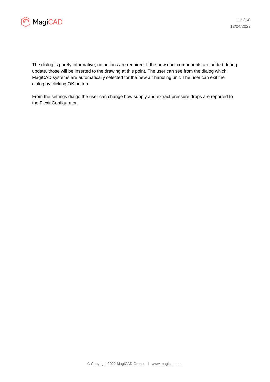

The dialog is purely informative, no actions are required. If the new duct components are added during update, those will be inserted to the drawing at this point. The user can see from the dialog which MagiCAD systems are automatically selected for the new air handling unit. The user can exit the dialog by clicking OK button.

From the settings dialgo the user can change how supply and extract pressure drops are reported to the Flexit Configurator.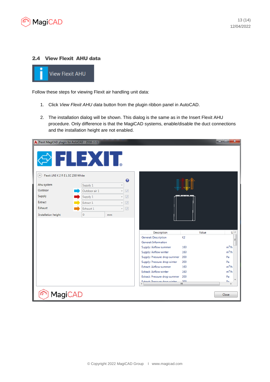

## 2.4 View Flexit AHU data



Follow these steps for viewing Flexit air handling unit data:

- 1. Click *View Flexit AHU data* button from the plugin ribbon panel in AutoCAD.
- 2. The installation dialog will be shown. This dialog is the same as in the Insert Flexit AHU procedure. Only difference is that the MagiCAD systems, enable/disable the duct connections and the installation height are not enabled.

| Flexit MagiCAD plugin for AutoCAD - 2016.11.1         |               |    |                          |                                                                  |                       | and Co<br>$\mathbf{x}$ |  |  |
|-------------------------------------------------------|---------------|----|--------------------------|------------------------------------------------------------------|-----------------------|------------------------|--|--|
| <b>OFLEXIT.</b>                                       |               |    |                          |                                                                  |                       |                        |  |  |
| Flexit UNI K 2 R E L EC 230 White<br>$\blacktriangle$ |               |    | ❼                        |                                                                  |                       |                        |  |  |
| Ahu system                                            | Supply 1      |    |                          |                                                                  |                       |                        |  |  |
| Outdoor                                               | Outdoor air 1 | v  | $\overline{\sqrt{2}}$    |                                                                  |                       |                        |  |  |
| Supply                                                | Supply 1      |    | $\overline{\mathcal{A}}$ |                                                                  | (1999) 1994-1999 1999 |                        |  |  |
| Extract                                               | Extract 1     |    | $\overline{\sqrt{2}}$    |                                                                  |                       |                        |  |  |
| Exhaust                                               | Exhaust 1     | v  | $\overline{v}$           |                                                                  |                       |                        |  |  |
| Installation height                                   | 0             | mm |                          |                                                                  |                       |                        |  |  |
|                                                       |               |    |                          |                                                                  |                       |                        |  |  |
|                                                       |               |    |                          |                                                                  |                       |                        |  |  |
|                                                       |               |    |                          | Description                                                      | Value                 | $U^*$                  |  |  |
|                                                       |               |    |                          | General: Description                                             | K2                    | Ε                      |  |  |
|                                                       |               |    |                          | General: Information                                             |                       |                        |  |  |
|                                                       |               |    |                          | Supply: Airflow summer                                           | 160                   | $m^3/h$                |  |  |
|                                                       |               |    |                          | Supply: Airflow winter                                           | 160                   | $m^3/h$                |  |  |
|                                                       |               |    |                          | Supply: Pressure drop summer                                     | 200                   | Pa                     |  |  |
|                                                       |               |    |                          | Supply: Pressure drop winter                                     | 200                   | $P_{a}$                |  |  |
|                                                       |               |    |                          | <b>Extract: Airflow summer</b><br><b>Extract: Airflow winter</b> | 160                   | $m^3/h$<br>$m^3/h$     |  |  |
|                                                       |               |    |                          | Extract: Pressure drop summer                                    | 160<br>200            | Pa                     |  |  |
|                                                       |               |    |                          | Evtract: Draccura dron winter                                    | 200                   | D <sub>2</sub>         |  |  |
|                                                       |               |    |                          |                                                                  | m.                    |                        |  |  |
| <b>MagiCAD</b>                                        |               |    |                          |                                                                  |                       | Close                  |  |  |